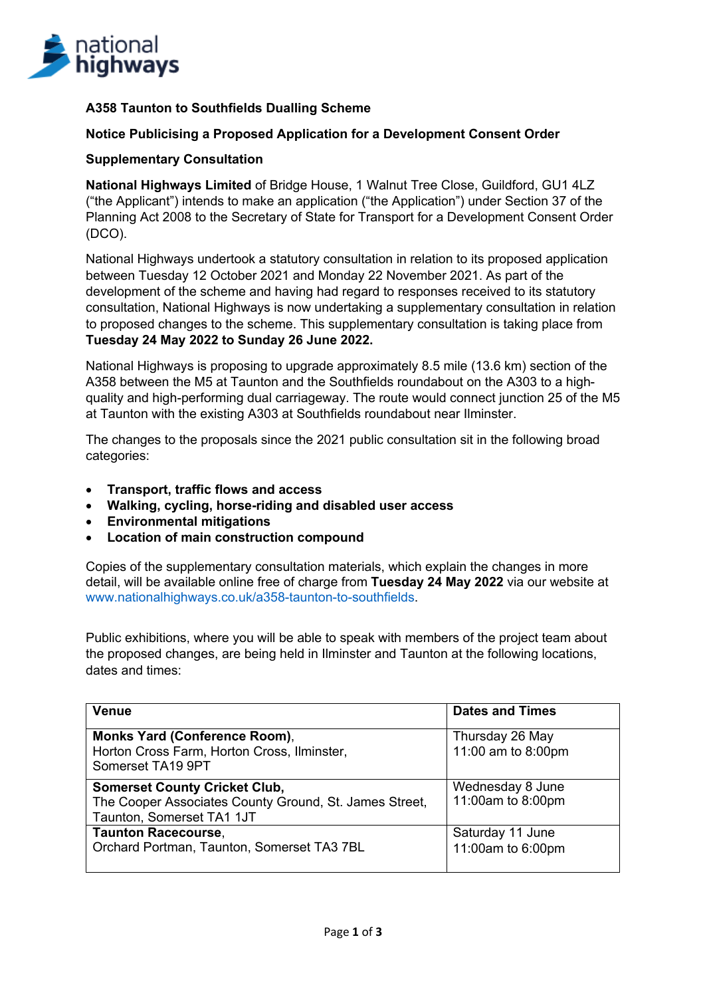

# **A358 Taunton to Southfields Dualling Scheme**

## **Notice Publicising a Proposed Application for a Development Consent Order**

#### **Supplementary Consultation**

**National Highways Limited** of Bridge House, 1 Walnut Tree Close, Guildford, GU1 4LZ ("the Applicant") intends to make an application ("the Application") under Section 37 of the Planning Act 2008 to the Secretary of State for Transport for a Development Consent Order (DCO).

National Highways undertook a statutory consultation in relation to its proposed application between Tuesday 12 October 2021 and Monday 22 November 2021. As part of the development of the scheme and having had regard to responses received to its statutory consultation, National Highways is now undertaking a supplementary consultation in relation to proposed changes to the scheme. This supplementary consultation is taking place from **Tuesday 24 May 2022 to Sunday 26 June 2022.**

National Highways is proposing to upgrade approximately 8.5 mile (13.6 km) section of the A358 between the M5 at Taunton and the Southfields roundabout on the A303 to a highquality and high-performing dual carriageway. The route would connect junction 25 of the M5 at Taunton with the existing A303 at Southfields roundabout near Ilminster.

The changes to the proposals since the 2021 public consultation sit in the following broad categories:

- **Transport, traffic flows and access**
- **Walking, cycling, horse-riding and disabled user access**
- **Environmental mitigations**
- **Location of main construction compound**

Copies of the supplementary consultation materials, which explain the changes in more detail, will be available online free of charge from **Tuesday 24 May 2022** via our website at www.nationalhighways.co.uk/a358-taunton-to-southfields.

Public exhibitions, where you will be able to speak with members of the project team about the proposed changes, are being held in Ilminster and Taunton at the following locations, dates and times:

| Venue                                                                                                                       | <b>Dates and Times</b>                          |
|-----------------------------------------------------------------------------------------------------------------------------|-------------------------------------------------|
| Monks Yard (Conference Room),<br>Horton Cross Farm, Horton Cross, Ilminster,<br>Somerset TA19 9PT                           | Thursday 26 May<br>11:00 am to $8:00 \text{pm}$ |
| <b>Somerset County Cricket Club,</b><br>The Cooper Associates County Ground, St. James Street,<br>Taunton, Somerset TA1 1JT | Wednesday 8 June<br>11:00am to 8:00pm           |
| <b>Taunton Racecourse,</b><br>Orchard Portman, Taunton, Somerset TA3 7BL                                                    | Saturday 11 June<br>11:00am to 6:00pm           |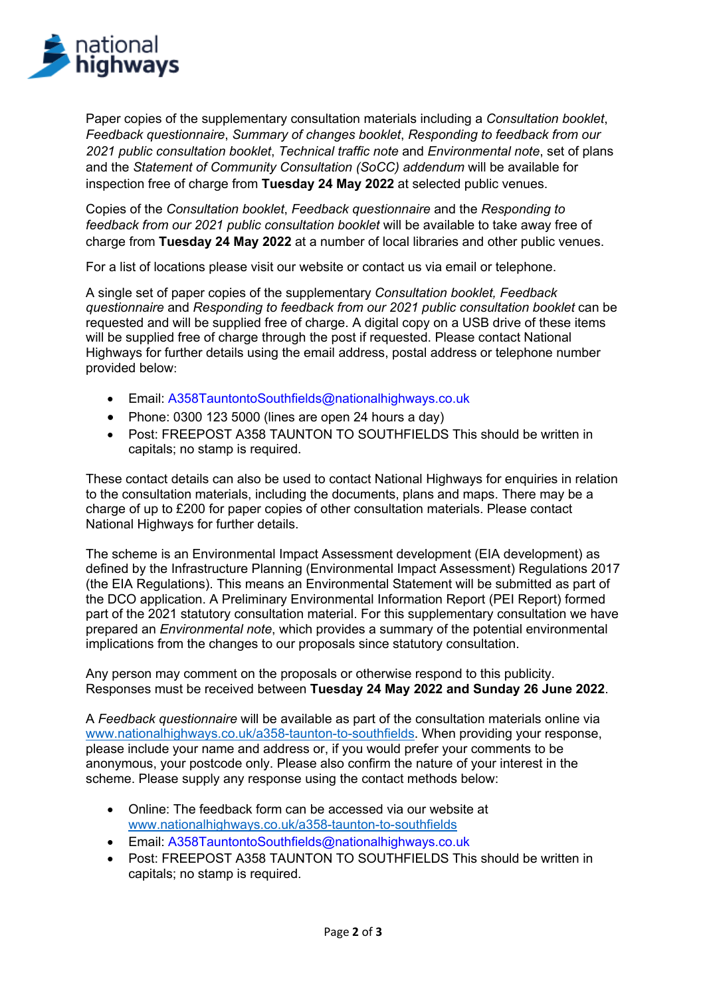

Paper copies of the supplementary consultation materials including a *Consultation booklet*, *Feedback questionnaire*, *Summary of changes booklet*, *Responding to feedback from our 2021 public consultation booklet*, *Technical traffic note* and *Environmental note*, set of plans and the *Statement of Community Consultation (SoCC) addendum* will be available for inspection free of charge from **Tuesday 24 May 2022** at selected public venues.

Copies of the *Consultation booklet*, *Feedback questionnaire* and the *Responding to feedback from our 2021 public consultation booklet* will be available to take away free of charge from **Tuesday 24 May 2022** at a number of local libraries and other public venues.

For a list of locations please visit our website or contact us via email or telephone.

A single set of paper copies of the supplementary *Consultation booklet, Feedback questionnaire* and *Responding to feedback from our 2021 public consultation booklet* can be requested and will be supplied free of charge. A digital copy on a USB drive of these items will be supplied free of charge through the post if requested. Please contact National Highways for further details using the email address, postal address or telephone number provided below:

- Email: A358TauntontoSouthfields@nationalhighways.co.uk
- Phone: 0300 123 5000 (lines are open 24 hours a day)
- Post: FREEPOST A358 TAUNTON TO SOUTHFIELDS This should be written in capitals; no stamp is required.

These contact details can also be used to contact National Highways for enquiries in relation to the consultation materials, including the documents, plans and maps. There may be a charge of up to £200 for paper copies of other consultation materials. Please contact National Highways for further details.

The scheme is an Environmental Impact Assessment development (EIA development) as defined by the Infrastructure Planning (Environmental Impact Assessment) Regulations 2017 (the EIA Regulations). This means an Environmental Statement will be submitted as part of the DCO application. A Preliminary Environmental Information Report (PEI Report) formed part of the 2021 statutory consultation material. For this supplementary consultation we have prepared an *Environmental note*, which provides a summary of the potential environmental implications from the changes to our proposals since statutory consultation.

Any person may comment on the proposals or otherwise respond to this publicity. Responses must be received between **Tuesday 24 May 2022 and Sunday 26 June 2022**.

A *Feedback questionnaire* will be available as part of the consultation materials online via www.nationalhighways.co.uk/a358-taunton-to-southfields. When providing your response, please include your name and address or, if you would prefer your comments to be anonymous, your postcode only. Please also confirm the nature of your interest in the scheme. Please supply any response using the contact methods below:

- Online: The feedback form can be accessed via our website at www.nationalhighways.co.uk/a358-taunton-to-southfields
- Email: A358TauntontoSouthfields@nationalhighways.co.uk
- Post: FREEPOST A358 TAUNTON TO SOUTHFIELDS This should be written in capitals; no stamp is required.